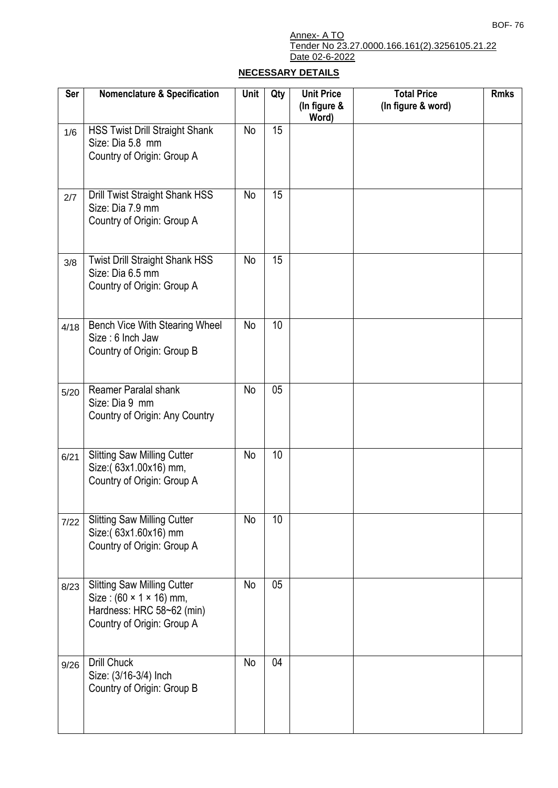## Annex- A TO Tender No 23.27.0000.166.161(2).3256105.21.22 Date 02-6-2022

## **NECESSARY DETAILS**

| <b>Ser</b> | <b>Nomenclature &amp; Specification</b>                                                                                  | Unit      | Qty | <b>Unit Price</b><br>(In figure &<br>Word) | <b>Total Price</b><br>(In figure & word) | <b>Rmks</b> |
|------------|--------------------------------------------------------------------------------------------------------------------------|-----------|-----|--------------------------------------------|------------------------------------------|-------------|
| 1/6        | <b>HSS Twist Drill Straight Shank</b><br>Size: Dia 5.8 mm<br>Country of Origin: Group A                                  | No        | 15  |                                            |                                          |             |
| 2/7        | Drill Twist Straight Shank HSS<br>Size: Dia 7.9 mm<br>Country of Origin: Group A                                         | No        | 15  |                                            |                                          |             |
| 3/8        | <b>Twist Drill Straight Shank HSS</b><br>Size: Dia 6.5 mm<br>Country of Origin: Group A                                  | No        | 15  |                                            |                                          |             |
| 4/18       | Bench Vice With Stearing Wheel<br>Size: 6 Inch Jaw<br>Country of Origin: Group B                                         | <b>No</b> | 10  |                                            |                                          |             |
| 5/20       | Reamer Paralal shank<br>Size: Dia 9 mm<br>Country of Origin: Any Country                                                 | No        | 05  |                                            |                                          |             |
| 6/21       | Slitting Saw Milling Cutter<br>Size: (63x1.00x16) mm,<br>Country of Origin: Group A                                      | No        | 10  |                                            |                                          |             |
| 7/22       | <b>Slitting Saw Milling Cutter</b><br>Size:(63x1.60x16) mm<br>Country of Origin: Group A                                 | No        | 10  |                                            |                                          |             |
| 8/23       | <b>Slitting Saw Milling Cutter</b><br>Size: (60 × 1 × 16) mm,<br>Hardness: HRC 58~62 (min)<br>Country of Origin: Group A | No        | 05  |                                            |                                          |             |
| 9/26       | <b>Drill Chuck</b><br>Size: (3/16-3/4) Inch<br>Country of Origin: Group B                                                | No        | 04  |                                            |                                          |             |